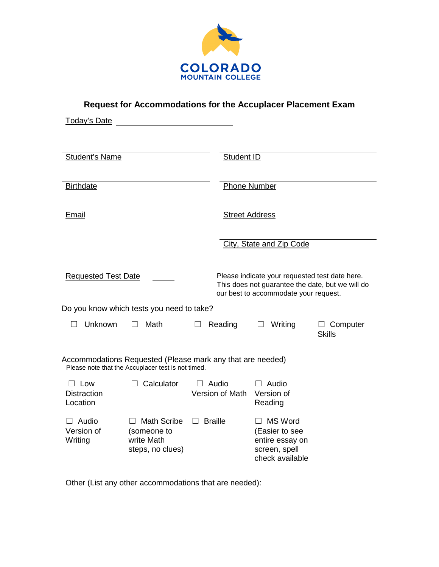

**Request for Accommodations for the Accuplacer Placement Exam** 

| <b>Today's Date</b>                                                                                              |                                                                               |                                 |                                                                                                                                             |                                  |  |  |
|------------------------------------------------------------------------------------------------------------------|-------------------------------------------------------------------------------|---------------------------------|---------------------------------------------------------------------------------------------------------------------------------------------|----------------------------------|--|--|
| <b>Student's Name</b>                                                                                            |                                                                               |                                 | Student ID                                                                                                                                  |                                  |  |  |
| <b>Birthdate</b>                                                                                                 |                                                                               |                                 | <b>Phone Number</b>                                                                                                                         |                                  |  |  |
| Email                                                                                                            |                                                                               |                                 | <b>Street Address</b>                                                                                                                       |                                  |  |  |
|                                                                                                                  |                                                                               |                                 | City, State and Zip Code                                                                                                                    |                                  |  |  |
| <b>Requested Test Date</b>                                                                                       |                                                                               |                                 | Please indicate your requested test date here.<br>This does not guarantee the date, but we will do<br>our best to accommodate your request. |                                  |  |  |
| Do you know which tests you need to take?                                                                        |                                                                               |                                 |                                                                                                                                             |                                  |  |  |
| Unknown                                                                                                          | Math                                                                          | Reading<br>$\perp$              | Writing                                                                                                                                     | $\Box$ Computer<br><b>Skills</b> |  |  |
| Accommodations Requested (Please mark any that are needed)<br>Please note that the Accuplacer test is not timed. |                                                                               |                                 |                                                                                                                                             |                                  |  |  |
| Low<br><b>Distraction</b><br>Location                                                                            | Calculator                                                                    | $\Box$ Audio<br>Version of Math | Audio<br>$\mathsf{L}$<br>Version of<br>Reading                                                                                              |                                  |  |  |
| Audio<br>Version of<br>Writing                                                                                   | <b>Math Scribe</b><br>$\Box$<br>(someone to<br>write Math<br>steps, no clues) | <b>Braille</b><br>$\Box$        | <b>MS Word</b><br>$\perp$<br>(Easier to see<br>entire essay on<br>screen, spell<br>check available                                          |                                  |  |  |

Other (List any other accommodations that are needed):